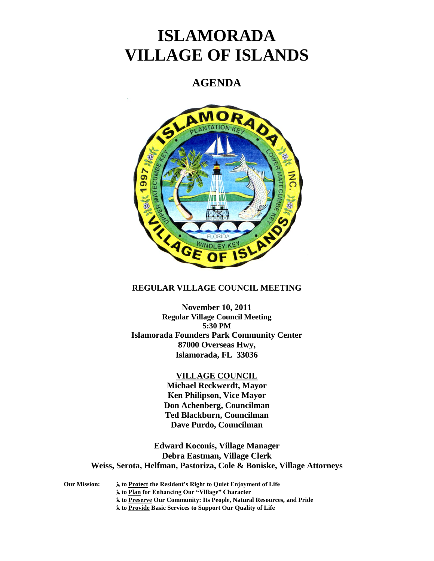# **ISLAMORADA VILLAGE OF ISLANDS**

## **AGENDA**



### **REGULAR VILLAGE COUNCIL MEETING**

**November 10, 2011 Regular Village Council Meeting 5:30 PM Islamorada Founders Park Community Center 87000 Overseas Hwy, Islamorada, FL 33036**

#### **VILLAGE COUNCIL**

**Michael Reckwerdt, Mayor Ken Philipson, Vice Mayor Don Achenberg, Councilman Ted Blackburn, Councilman Dave Purdo, Councilman**

**Edward Koconis, Village Manager Debra Eastman, Village Clerk Weiss, Serota, Helfman, Pastoriza, Cole & Boniske, Village Attorneys**

**Our Mission: to Protect the Resident's Right to Quiet Enjoyment of Life to Plan for Enhancing Our "Village" Character to Preserve Our Community: Its People, Natural Resources, and Pride to Provide Basic Services to Support Our Quality of Life**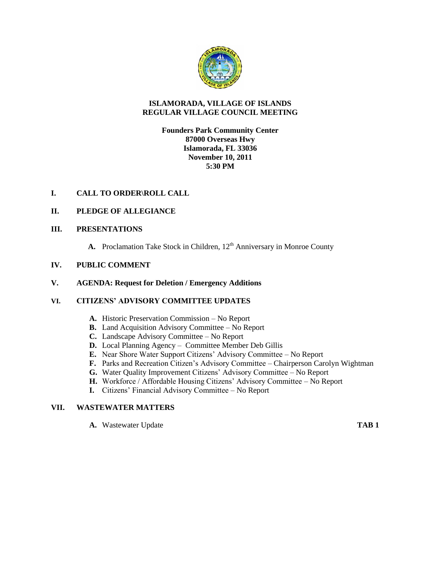

## **ISLAMORADA, VILLAGE OF ISLANDS REGULAR VILLAGE COUNCIL MEETING**

## **Founders Park Community Center 87000 Overseas Hwy Islamorada, FL 33036 November 10, 2011 5:30 PM**

## **I. CALL TO ORDER\ROLL CALL**

## **II. PLEDGE OF ALLEGIANCE**

## **III. PRESENTATIONS**

A. Proclamation Take Stock in Children, 12<sup>th</sup> Anniversary in Monroe County

## **IV. PUBLIC COMMENT**

### **V. AGENDA: Request for Deletion / Emergency Additions**

## **VI. CITIZENS' ADVISORY COMMITTEE UPDATES**

- **A.** Historic Preservation Commission No Report
- **B.** Land Acquisition Advisory Committee No Report
- **C.** Landscape Advisory Committee No Report
- **D.** Local Planning Agency Committee Member Deb Gillis
- **E.** Near Shore Water Support Citizens' Advisory Committee No Report
- **F.** Parks and Recreation Citizen's Advisory Committee Chairperson Carolyn Wightman
- **G.** Water Quality Improvement Citizens' Advisory Committee No Report
- **H.** Workforce / Affordable Housing Citizens' Advisory Committee No Report
- **I.** Citizens' Financial Advisory Committee No Report

## **VII. WASTEWATER MATTERS**

**A.** Wastewater Update **TAB 1**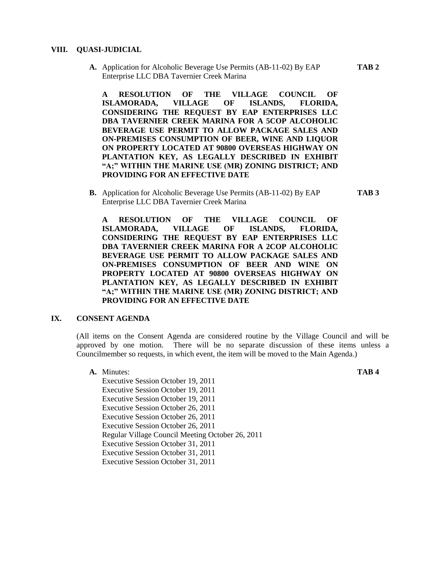#### **VIII. QUASI-JUDICIAL**

**A.** Application for Alcoholic Beverage Use Permits (AB-11-02) By EAP **TAB 2** Enterprise LLC DBA Tavernier Creek Marina

**A RESOLUTION OF THE VILLAGE COUNCIL OF ISLAMORADA, VILLAGE OF ISLANDS, FLORIDA, CONSIDERING THE REQUEST BY EAP ENTERPRISES LLC DBA TAVERNIER CREEK MARINA FOR A 5COP ALCOHOLIC BEVERAGE USE PERMIT TO ALLOW PACKAGE SALES AND ON-PREMISES CONSUMPTION OF BEER, WINE AND LIQUOR ON PROPERTY LOCATED AT 90800 OVERSEAS HIGHWAY ON PLANTATION KEY, AS LEGALLY DESCRIBED IN EXHIBIT "A;" WITHIN THE MARINE USE (MR) ZONING DISTRICT; AND PROVIDING FOR AN EFFECTIVE DATE**

**B.** Application for Alcoholic Beverage Use Permits (AB-11-02) By EAP **TAB 3**  Enterprise LLC DBA Tavernier Creek Marina

**A RESOLUTION OF THE VILLAGE COUNCIL OF ISLAMORADA, VILLAGE OF ISLANDS, FLORIDA, CONSIDERING THE REQUEST BY EAP ENTERPRISES LLC DBA TAVERNIER CREEK MARINA FOR A 2COP ALCOHOLIC BEVERAGE USE PERMIT TO ALLOW PACKAGE SALES AND ON-PREMISES CONSUMPTION OF BEER AND WINE ON PROPERTY LOCATED AT 90800 OVERSEAS HIGHWAY ON PLANTATION KEY, AS LEGALLY DESCRIBED IN EXHIBIT "A;" WITHIN THE MARINE USE (MR) ZONING DISTRICT; AND PROVIDING FOR AN EFFECTIVE DATE**

#### **IX. CONSENT AGENDA**

(All items on the Consent Agenda are considered routine by the Village Council and will be approved by one motion. There will be no separate discussion of these items unless a Councilmember so requests, in which event, the item will be moved to the Main Agenda.)

**A.** Minutes: **TAB 4**  Executive Session October 19, 2011 Executive Session October 19, 2011 Executive Session October 19, 2011 Executive Session October 26, 2011 Executive Session October 26, 2011 Executive Session October 26, 2011 Regular Village Council Meeting October 26, 2011 Executive Session October 31, 2011 Executive Session October 31, 2011 Executive Session October 31, 2011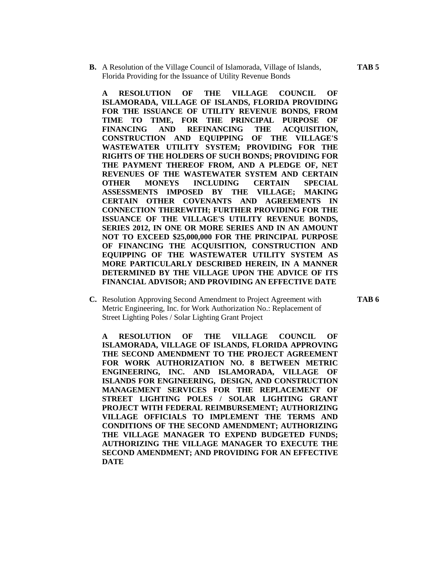**B.** A Resolution of the Village Council of Islamorada, Village of Islands, **TAB 5** Florida Providing for the Issuance of Utility Revenue Bonds

**A RESOLUTION OF THE VILLAGE COUNCIL OF ISLAMORADA, VILLAGE OF ISLANDS, FLORIDA PROVIDING FOR THE ISSUANCE OF UTILITY REVENUE BONDS, FROM TIME TO TIME, FOR THE PRINCIPAL PURPOSE OF FINANCING AND REFINANCING THE ACQUISITION, CONSTRUCTION AND EQUIPPING OF THE VILLAGE'S WASTEWATER UTILITY SYSTEM; PROVIDING FOR THE RIGHTS OF THE HOLDERS OF SUCH BONDS; PROVIDING FOR THE PAYMENT THEREOF FROM, AND A PLEDGE OF, NET REVENUES OF THE WASTEWATER SYSTEM AND CERTAIN OTHER MONEYS INCLUDING CERTAIN SPECIAL ASSESSMENTS IMPOSED BY THE VILLAGE; MAKING CERTAIN OTHER COVENANTS AND AGREEMENTS IN CONNECTION THEREWITH; FURTHER PROVIDING FOR THE ISSUANCE OF THE VILLAGE'S UTILITY REVENUE BONDS, SERIES 2012, IN ONE OR MORE SERIES AND IN AN AMOUNT NOT TO EXCEED \$25,000,000 FOR THE PRINCIPAL PURPOSE OF FINANCING THE ACQUISITION, CONSTRUCTION AND EQUIPPING OF THE WASTEWATER UTILITY SYSTEM AS MORE PARTICULARLY DESCRIBED HEREIN, IN A MANNER DETERMINED BY THE VILLAGE UPON THE ADVICE OF ITS FINANCIAL ADVISOR; AND PROVIDING AN EFFECTIVE DATE**

**C.** Resolution Approving Second Amendment to Project Agreement with **TAB 6** Metric Engineering, Inc. for Work Authorization No.: Replacement of Street Lighting Poles / Solar Lighting Grant Project

**A RESOLUTION OF THE VILLAGE COUNCIL OF ISLAMORADA, VILLAGE OF ISLANDS, FLORIDA APPROVING THE SECOND AMENDMENT TO THE PROJECT AGREEMENT FOR WORK AUTHORIZATION NO. 8 BETWEEN METRIC ENGINEERING, INC. AND ISLAMORADA, VILLAGE OF ISLANDS FOR ENGINEERING, DESIGN, AND CONSTRUCTION MANAGEMENT SERVICES FOR THE REPLACEMENT OF STREET LIGHTING POLES / SOLAR LIGHTING GRANT PROJECT WITH FEDERAL REIMBURSEMENT; AUTHORIZING VILLAGE OFFICIALS TO IMPLEMENT THE TERMS AND CONDITIONS OF THE SECOND AMENDMENT; AUTHORIZING THE VILLAGE MANAGER TO EXPEND BUDGETED FUNDS; AUTHORIZING THE VILLAGE MANAGER TO EXECUTE THE SECOND AMENDMENT; AND PROVIDING FOR AN EFFECTIVE DATE**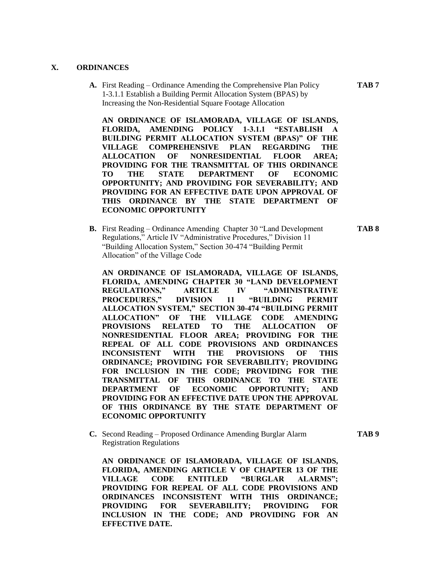#### **X. ORDINANCES**

**A.** First Reading – Ordinance Amending the Comprehensive Plan Policy **TAB 7** 1-3.1.1 Establish a Building Permit Allocation System (BPAS) by Increasing the Non-Residential Square Footage Allocation

**AN ORDINANCE OF ISLAMORADA, VILLAGE OF ISLANDS, FLORIDA, AMENDING POLICY 1-3.1.1 "ESTABLISH A BUILDING PERMIT ALLOCATION SYSTEM (BPAS)" OF THE VILLAGE COMPREHENSIVE PLAN REGARDING THE ALLOCATION OF NONRESIDENTIAL FLOOR AREA; PROVIDING FOR THE TRANSMITTAL OF THIS ORDINANCE TO THE STATE DEPARTMENT OF ECONOMIC OPPORTUNITY; AND PROVIDING FOR SEVERABILITY; AND PROVIDING FOR AN EFFECTIVE DATE UPON APPROVAL OF THIS ORDINANCE BY THE STATE DEPARTMENT OF ECONOMIC OPPORTUNITY**

**B.** First Reading – Ordinance Amending Chapter 30 "Land Development **TAB 8** Regulations," Article IV "Administrative Procedures," Division 11 "Building Allocation System," Section 30-474 "Building Permit Allocation" of the Village Code

**AN ORDINANCE OF ISLAMORADA, VILLAGE OF ISLANDS, FLORIDA, AMENDING CHAPTER 30 "LAND DEVELOPMENT REGULATIONS," ARTICLE IV "ADMINISTRATIVE PROCEDURES," DIVISION 11 "BUILDING PERMIT ALLOCATION SYSTEM," SECTION 30-474 "BUILDING PERMIT ALLOCATION" OF THE VILLAGE CODE AMENDING PROVISIONS RELATED TO THE ALLOCATION OF NONRESIDENTIAL FLOOR AREA; PROVIDING FOR THE REPEAL OF ALL CODE PROVISIONS AND ORDINANCES INCONSISTENT WITH THE PROVISIONS OF THIS ORDINANCE; PROVIDING FOR SEVERABILITY; PROVIDING FOR INCLUSION IN THE CODE; PROVIDING FOR THE TRANSMITTAL OF THIS ORDINANCE TO THE STATE DEPARTMENT OF ECONOMIC OPPORTUNITY; AND PROVIDING FOR AN EFFECTIVE DATE UPON THE APPROVAL OF THIS ORDINANCE BY THE STATE DEPARTMENT OF ECONOMIC OPPORTUNITY**

**C.** Second Reading – Proposed Ordinance Amending Burglar Alarm **TAB 9** Registration Regulations

**AN ORDINANCE OF ISLAMORADA, VILLAGE OF ISLANDS, FLORIDA, AMENDING ARTICLE V OF CHAPTER 13 OF THE VILLAGE CODE ENTITLED "BURGLAR ALARMS"; PROVIDING FOR REPEAL OF ALL CODE PROVISIONS AND ORDINANCES INCONSISTENT WITH THIS ORDINANCE; PROVIDING FOR SEVERABILITY; PROVIDING FOR INCLUSION IN THE CODE; AND PROVIDING FOR AN EFFECTIVE DATE.**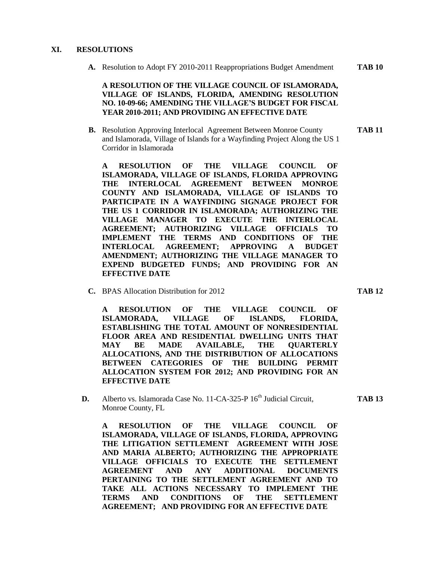#### **XI. RESOLUTIONS**

**A.** Resolution to Adopt FY 2010-2011 Reappropriations Budget Amendment **TAB 10**

**A RESOLUTION OF THE VILLAGE COUNCIL OF ISLAMORADA, VILLAGE OF ISLANDS, FLORIDA, AMENDING RESOLUTION NO. 10-09-66; AMENDING THE VILLAGE'S BUDGET FOR FISCAL YEAR 2010-2011; AND PROVIDING AN EFFECTIVE DATE**

**B.** Resolution Approving Interlocal Agreement Between Monroe County **TAB 11** and Islamorada, Village of Islands for a Wayfinding Project Along the US 1 Corridor in Islamorada

**A RESOLUTION OF THE VILLAGE COUNCIL OF ISLAMORADA, VILLAGE OF ISLANDS, FLORIDA APPROVING THE INTERLOCAL AGREEMENT BETWEEN MONROE COUNTY AND ISLAMORADA, VILLAGE OF ISLANDS TO PARTICIPATE IN A WAYFINDING SIGNAGE PROJECT FOR THE US 1 CORRIDOR IN ISLAMORADA; AUTHORIZING THE VILLAGE MANAGER TO EXECUTE THE INTERLOCAL AGREEMENT; AUTHORIZING VILLAGE OFFICIALS TO IMPLEMENT THE TERMS AND CONDITIONS OF THE INTERLOCAL AGREEMENT; APPROVING A BUDGET AMENDMENT; AUTHORIZING THE VILLAGE MANAGER TO EXPEND BUDGETED FUNDS; AND PROVIDING FOR AN EFFECTIVE DATE**

**C.** BPAS Allocation Distribution for 2012 **TAB 12**

**A RESOLUTION OF THE VILLAGE COUNCIL OF ISLAMORADA, VILLAGE OF ISLANDS, FLORIDA, ESTABLISHING THE TOTAL AMOUNT OF NONRESIDENTIAL FLOOR AREA AND RESIDENTIAL DWELLING UNITS THAT MAY BE MADE AVAILABLE, THE QUARTERLY ALLOCATIONS, AND THE DISTRIBUTION OF ALLOCATIONS BETWEEN CATEGORIES OF THE BUILDING PERMIT ALLOCATION SYSTEM FOR 2012; AND PROVIDING FOR AN EFFECTIVE DATE**

**D.** Alberto vs. Islamorada Case No. 11-CA-325-P 16<sup>th</sup> Judicial Circuit, **TAB 13** Monroe County, FL

**A RESOLUTION OF THE VILLAGE COUNCIL OF ISLAMORADA, VILLAGE OF ISLANDS, FLORIDA, APPROVING THE LITIGATION SETTLEMENT AGREEMENT WITH JOSE AND MARIA ALBERTO; AUTHORIZING THE APPROPRIATE VILLAGE OFFICIALS TO EXECUTE THE SETTLEMENT AGREEMENT AND ANY ADDITIONAL DOCUMENTS PERTAINING TO THE SETTLEMENT AGREEMENT AND TO TAKE ALL ACTIONS NECESSARY TO IMPLEMENT THE TERMS AND CONDITIONS OF THE SETTLEMENT AGREEMENT; AND PROVIDING FOR AN EFFECTIVE DATE**